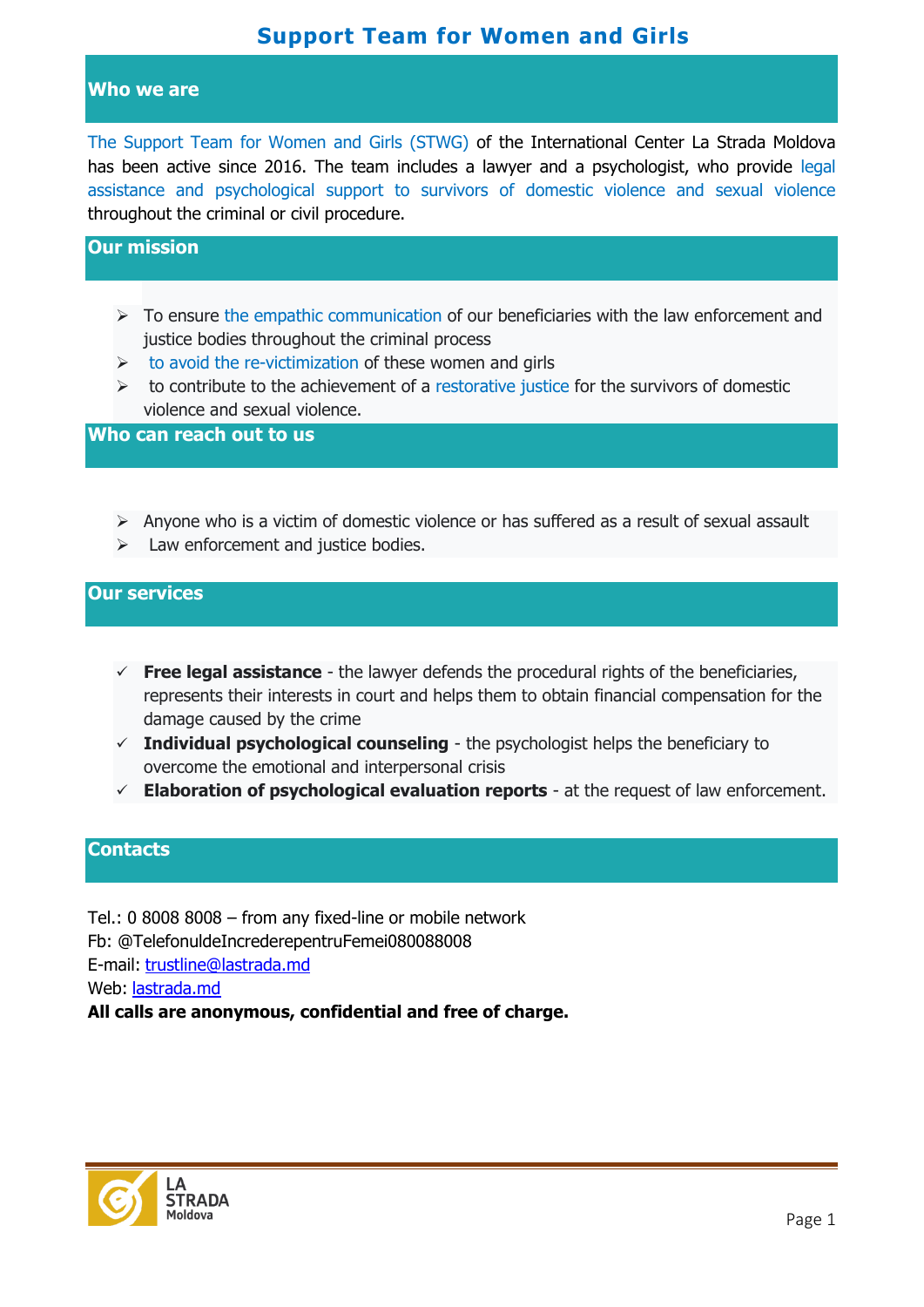# **Support Team for Women and Girls**

#### **Who we are**

The Support Team for Women and Girls (STWG) of the International Center La Strada Moldova has been active since 2016. The team includes a lawyer and a psychologist, who provide legal assistance and psychological support to survivors of domestic violence and sexual violence throughout the criminal or civil procedure.

### **Our mission**

- $\triangleright$  To ensure the empathic communication of our beneficiaries with the law enforcement and justice bodies throughout the criminal process
- $\triangleright$  to avoid the re-victimization of these women and girls
- $\triangleright$  to contribute to the achievement of a restorative justice for the survivors of domestic violence and sexual violence.

**Who can reach out to us**

- $\triangleright$  Anyone who is a victim of domestic violence or has suffered as a result of sexual assault
- $\triangleright$  Law enforcement and justice bodies.

#### **Our services**

- $\checkmark$  **Free legal assistance** the lawyer defends the procedural rights of the beneficiaries, represents their interests in court and helps them to obtain financial compensation for the damage caused by the crime
- $\checkmark$  Individual psychological counseling the psychologist helps the beneficiary to overcome the emotional and interpersonal crisis
- **Elaboration of psychological evaluation reports** at the request of law enforcement.

### **Contacts**

Tel.: 0 8008 8008 – from any fixed-line or mobile network Fb: @TelefonuldeIncrederepentruFemei080088008 E-mail: [trustline@lastrada.md](mailto:trustline@lastrada.md) Web: [lastrada.md](http://lastrada.md/) **All calls are anonymous, confidential and free of charge.**